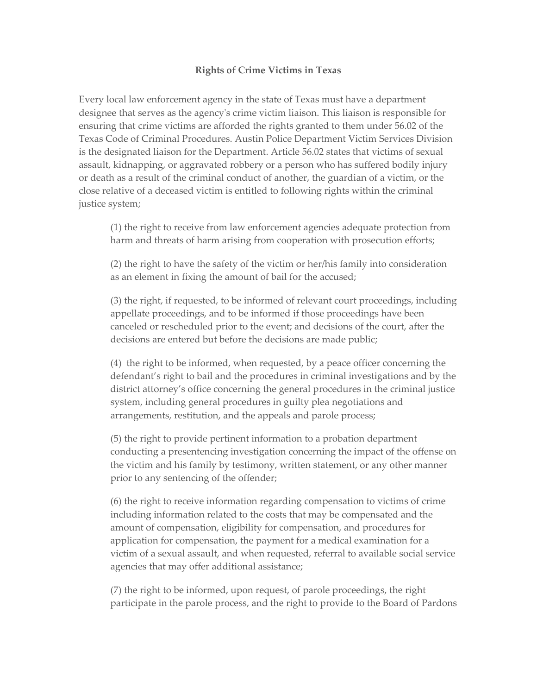## **Rights of Crime Victims in Texas**

Every local law enforcement agency in the state of Texas must have a department designee that serves as the agencyʹs crime victim liaison. This liaison is responsible for ensuring that crime victims are afforded the rights granted to them under 56.02 of the Texas Code of Criminal Procedures. Austin Police Department Victim Services Division is the designated liaison for the Department. Article 56.02 states that victims of sexual assault, kidnapping, or aggravated robbery or a person who has suffered bodily injury or death as a result of the criminal conduct of another, the guardian of a victim, or the close relative of a deceased victim is entitled to following rights within the criminal justice system;

(1) the right to receive from law enforcement agencies adequate protection from harm and threats of harm arising from cooperation with prosecution efforts;

(2) the right to have the safety of the victim or her/his family into consideration as an element in fixing the amount of bail for the accused;

(3) the right, if requested, to be informed of relevant court proceedings, including appellate proceedings, and to be informed if those proceedings have been canceled or rescheduled prior to the event; and decisions of the court, after the decisions are entered but before the decisions are made public;

(4) the right to be informed, when requested, by a peace officer concerning the defendant's right to bail and the procedures in criminal investigations and by the district attorney's office concerning the general procedures in the criminal justice system, including general procedures in guilty plea negotiations and arrangements, restitution, and the appeals and parole process;

(5) the right to provide pertinent information to a probation department conducting a presentencing investigation concerning the impact of the offense on the victim and his family by testimony, written statement, or any other manner prior to any sentencing of the offender;

(6) the right to receive information regarding compensation to victims of crime including information related to the costs that may be compensated and the amount of compensation, eligibility for compensation, and procedures for application for compensation, the payment for a medical examination for a victim of a sexual assault, and when requested, referral to available social service agencies that may offer additional assistance;

(7) the right to be informed, upon request, of parole proceedings, the right participate in the parole process, and the right to provide to the Board of Pardons